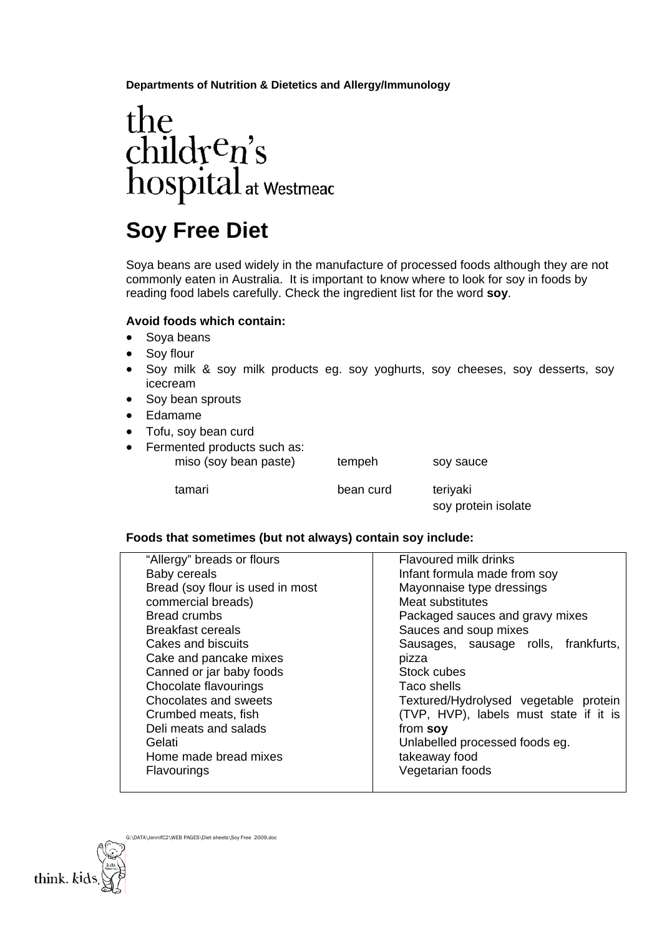**Departments of Nutrition & Dietetics and Allergy/Immunology** 

# the children's<br>hospital at Westmeac

## **Soy Free Diet**

Soya beans are used widely in the manufacture of processed foods although they are not commonly eaten in Australia. It is important to know where to look for soy in foods by reading food labels carefully. Check the ingredient list for the word **soy**.

#### **Avoid foods which contain:**

- Soya beans
- Soy flour
- Soy milk & soy milk products eg. soy yoghurts, soy cheeses, soy desserts, soy icecream
- Soy bean sprouts
- Edamame
- Tofu, soy bean curd
- Fermented products such as: miso (soy bean paste) tempeh soy sauce

| tamari |  |
|--------|--|
|        |  |

bean curd teriyaki

soy protein isolate

#### **Foods that sometimes (but not always) contain soy include:**

| "Allergy" breads or flours       | <b>Flavoured milk drinks</b>           |  |  |
|----------------------------------|----------------------------------------|--|--|
| Baby cereals                     | Infant formula made from soy           |  |  |
| Bread (soy flour is used in most | Mayonnaise type dressings              |  |  |
| commercial breads)               | Meat substitutes                       |  |  |
| <b>Bread crumbs</b>              | Packaged sauces and gravy mixes        |  |  |
| Breakfast cereals                | Sauces and soup mixes                  |  |  |
| Cakes and biscuits               | Sausages, sausage rolls, frankfurts,   |  |  |
| Cake and pancake mixes           | pizza                                  |  |  |
| Canned or jar baby foods         | Stock cubes                            |  |  |
| Chocolate flavourings            | Taco shells                            |  |  |
| Chocolates and sweets            | Textured/Hydrolysed vegetable protein  |  |  |
| Crumbed meats, fish              | (TVP, HVP), labels must state if it is |  |  |
| Deli meats and salads            | from soy                               |  |  |
| Gelati                           | Unlabelled processed foods eg.         |  |  |
| Home made bread mixes            | takeaway food                          |  |  |
| Flavourings                      | Vegetarian foods                       |  |  |
|                                  |                                        |  |  |

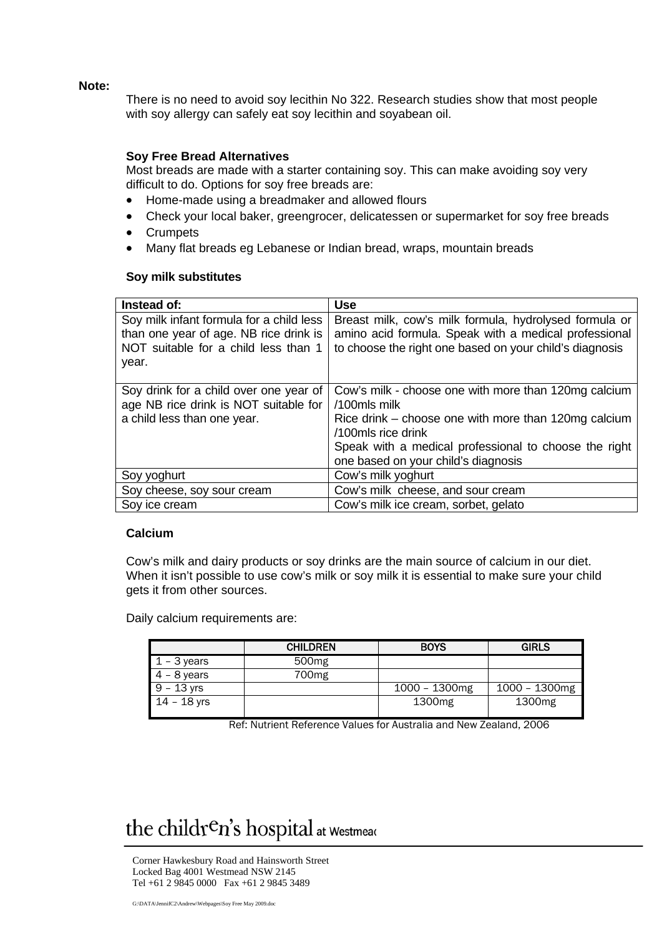**Note:** 

There is no need to avoid soy lecithin No 322. Research studies show that most people with soy allergy can safely eat soy lecithin and soyabean oil.

#### **Soy Free Bread Alternatives**

Most breads are made with a starter containing soy. This can make avoiding soy very difficult to do. Options for soy free breads are:

- Home-made using a breadmaker and allowed flours
- Check your local baker, greengrocer, delicatessen or supermarket for soy free breads
- **Crumpets**
- Many flat breads eg Lebanese or Indian bread, wraps, mountain breads

#### **Soy milk substitutes**

| Instead of:                              | <b>Use</b>                                              |
|------------------------------------------|---------------------------------------------------------|
| Soy milk infant formula for a child less | Breast milk, cow's milk formula, hydrolysed formula or  |
| than one year of age. NB rice drink is   | amino acid formula. Speak with a medical professional   |
| NOT suitable for a child less than 1     | to choose the right one based on your child's diagnosis |
| year.                                    |                                                         |
|                                          |                                                         |
| Soy drink for a child over one year of   | Cow's milk - choose one with more than 120mg calcium    |
| age NB rice drink is NOT suitable for    | /100mls milk                                            |
| a child less than one year.              | Rice drink – choose one with more than 120mg calcium    |
|                                          | /100mls rice drink                                      |
|                                          | Speak with a medical professional to choose the right   |
|                                          | one based on your child's diagnosis                     |
| Soy yoghurt                              | Cow's milk yoghurt                                      |
| Soy cheese, soy sour cream               | Cow's milk cheese, and sour cream                       |
| Soy ice cream                            | Cow's milk ice cream, sorbet, gelato                    |

#### **Calcium**

Cow's milk and dairy products or soy drinks are the main source of calcium in our diet. When it isn't possible to use cow's milk or soy milk it is essential to make sure your child gets it from other sources.

Daily calcium requirements are:

|               | <b>CHILDREN</b>   | <b>BOYS</b>        | <b>GIRLS</b>       |
|---------------|-------------------|--------------------|--------------------|
| $1 - 3$ years | 500 <sub>mg</sub> |                    |                    |
| $4 - 8$ years | 700 <sub>mg</sub> |                    |                    |
| $9 - 13$ yrs  |                   | $1000 - 1300$ mg   | $1000 - 1300$ mg   |
| $14 - 18$ yrs |                   | 1300 <sub>mg</sub> | 1300 <sub>mg</sub> |

Ref: Nutrient Reference Values for Australia and New Zealand, 2006

### the children's hospital at Westmear

Corner Hawkesbury Road and Hainsworth Street Locked Bag 4001 Westmead NSW 2145 Tel +61 2 9845 0000 Fax +61 2 9845 3489